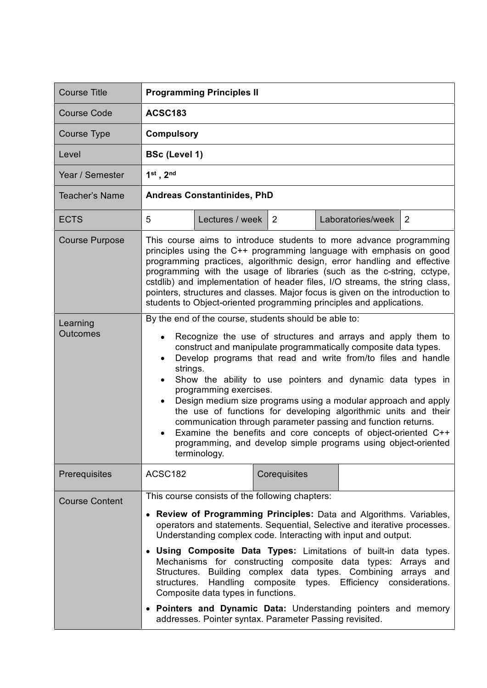| <b>Course Title</b>         | <b>Programming Principles II</b>                                                                                                                                                                                                                                                                                                                                                                                                                                                                                                                                                                                                                                                                                                                              |                 |              |                   |                |  |
|-----------------------------|---------------------------------------------------------------------------------------------------------------------------------------------------------------------------------------------------------------------------------------------------------------------------------------------------------------------------------------------------------------------------------------------------------------------------------------------------------------------------------------------------------------------------------------------------------------------------------------------------------------------------------------------------------------------------------------------------------------------------------------------------------------|-----------------|--------------|-------------------|----------------|--|
| <b>Course Code</b>          | <b>ACSC183</b>                                                                                                                                                                                                                                                                                                                                                                                                                                                                                                                                                                                                                                                                                                                                                |                 |              |                   |                |  |
| <b>Course Type</b>          | <b>Compulsory</b>                                                                                                                                                                                                                                                                                                                                                                                                                                                                                                                                                                                                                                                                                                                                             |                 |              |                   |                |  |
| Level                       | <b>BSc (Level 1)</b>                                                                                                                                                                                                                                                                                                                                                                                                                                                                                                                                                                                                                                                                                                                                          |                 |              |                   |                |  |
| Year / Semester             | $1st$ , $2nd$                                                                                                                                                                                                                                                                                                                                                                                                                                                                                                                                                                                                                                                                                                                                                 |                 |              |                   |                |  |
| Teacher's Name              | <b>Andreas Constantinides, PhD</b>                                                                                                                                                                                                                                                                                                                                                                                                                                                                                                                                                                                                                                                                                                                            |                 |              |                   |                |  |
| <b>ECTS</b>                 | 5                                                                                                                                                                                                                                                                                                                                                                                                                                                                                                                                                                                                                                                                                                                                                             | Lectures / week | 2            | Laboratories/week | $\overline{2}$ |  |
| <b>Course Purpose</b>       | This course aims to introduce students to more advance programming<br>principles using the C++ programming language with emphasis on good<br>programming practices, algorithmic design, error handling and effective<br>programming with the usage of libraries (such as the c-string, cctype,<br>cstdlib) and implementation of header files, I/O streams, the string class,<br>pointers, structures and classes. Major focus is given on the introduction to<br>students to Object-oriented programming principles and applications.                                                                                                                                                                                                                        |                 |              |                   |                |  |
| Learning<br><b>Outcomes</b> | By the end of the course, students should be able to:<br>Recognize the use of structures and arrays and apply them to<br>construct and manipulate programmatically composite data types.<br>Develop programs that read and write from/to files and handle<br>$\bullet$<br>strings.<br>Show the ability to use pointers and dynamic data types in<br>$\bullet$<br>programming exercises.<br>Design medium size programs using a modular approach and apply<br>$\bullet$<br>the use of functions for developing algorithmic units and their<br>communication through parameter passing and function returns.<br>Examine the benefits and core concepts of object-oriented C++<br>programming, and develop simple programs using object-oriented<br>terminology. |                 |              |                   |                |  |
| Prerequisites               | ACSC182                                                                                                                                                                                                                                                                                                                                                                                                                                                                                                                                                                                                                                                                                                                                                       |                 | Corequisites |                   |                |  |
| <b>Course Content</b>       | This course consists of the following chapters:<br>Review of Programming Principles: Data and Algorithms. Variables,<br>operators and statements. Sequential, Selective and iterative processes.<br>Understanding complex code. Interacting with input and output.<br>Using Composite Data Types: Limitations of built-in data types.<br>Mechanisms for constructing composite data types: Arrays and<br>Structures. Building complex data types. Combining arrays and<br>Handling composite types. Efficiency considerations.<br>structures.<br>Composite data types in functions.<br>• Pointers and Dynamic Data: Understanding pointers and memory<br>addresses. Pointer syntax. Parameter Passing revisited.                                              |                 |              |                   |                |  |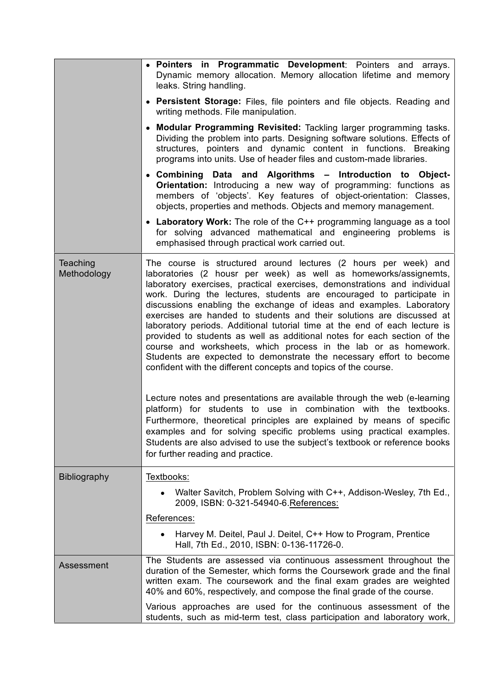|                         | . Pointers in Programmatic Development: Pointers and arrays.<br>Dynamic memory allocation. Memory allocation lifetime and memory<br>leaks. String handling.                                                                                                                                                                                                                                                                                                                                                                                                                                                                                                                                                                                                                                                                                                                                                                                                                                                                                                                                                       |
|-------------------------|-------------------------------------------------------------------------------------------------------------------------------------------------------------------------------------------------------------------------------------------------------------------------------------------------------------------------------------------------------------------------------------------------------------------------------------------------------------------------------------------------------------------------------------------------------------------------------------------------------------------------------------------------------------------------------------------------------------------------------------------------------------------------------------------------------------------------------------------------------------------------------------------------------------------------------------------------------------------------------------------------------------------------------------------------------------------------------------------------------------------|
|                         | • Persistent Storage: Files, file pointers and file objects. Reading and<br>writing methods. File manipulation.                                                                                                                                                                                                                                                                                                                                                                                                                                                                                                                                                                                                                                                                                                                                                                                                                                                                                                                                                                                                   |
|                         | • Modular Programming Revisited: Tackling larger programming tasks.<br>Dividing the problem into parts. Designing software solutions. Effects of<br>structures, pointers and dynamic content in functions. Breaking<br>programs into units. Use of header files and custom-made libraries.                                                                                                                                                                                                                                                                                                                                                                                                                                                                                                                                                                                                                                                                                                                                                                                                                        |
|                         | • Combining Data and Algorithms - Introduction to Object-<br><b>Orientation:</b> Introducing a new way of programming: functions as<br>members of 'objects'. Key features of object-orientation: Classes,<br>objects, properties and methods. Objects and memory management.                                                                                                                                                                                                                                                                                                                                                                                                                                                                                                                                                                                                                                                                                                                                                                                                                                      |
|                         | • Laboratory Work: The role of the C++ programming language as a tool<br>for solving advanced mathematical and engineering problems is<br>emphasised through practical work carried out.                                                                                                                                                                                                                                                                                                                                                                                                                                                                                                                                                                                                                                                                                                                                                                                                                                                                                                                          |
| Teaching<br>Methodology | The course is structured around lectures (2 hours per week) and<br>laboratories (2 housr per week) as well as homeworks/assignemts,<br>laboratory exercises, practical exercises, demonstrations and individual<br>work. During the lectures, students are encouraged to participate in<br>discussions enabling the exchange of ideas and examples. Laboratory<br>exercises are handed to students and their solutions are discussed at<br>laboratory periods. Additional tutorial time at the end of each lecture is<br>provided to students as well as additional notes for each section of the<br>course and worksheets, which process in the lab or as homework.<br>Students are expected to demonstrate the necessary effort to become<br>confident with the different concepts and topics of the course.<br>Lecture notes and presentations are available through the web (e-learning<br>platform) for students to use in combination with the textbooks.<br>Furthermore, theoretical principles are explained by means of specific<br>examples and for solving specific problems using practical examples. |
|                         | Students are also advised to use the subject's textbook or reference books<br>for further reading and practice.                                                                                                                                                                                                                                                                                                                                                                                                                                                                                                                                                                                                                                                                                                                                                                                                                                                                                                                                                                                                   |
| <b>Bibliography</b>     | Textbooks:<br>Walter Savitch, Problem Solving with C++, Addison-Wesley, 7th Ed.,<br>2009, ISBN: 0-321-54940-6. References:                                                                                                                                                                                                                                                                                                                                                                                                                                                                                                                                                                                                                                                                                                                                                                                                                                                                                                                                                                                        |
|                         | References:<br>Harvey M. Deitel, Paul J. Deitel, C++ How to Program, Prentice<br>Hall, 7th Ed., 2010, ISBN: 0-136-11726-0.                                                                                                                                                                                                                                                                                                                                                                                                                                                                                                                                                                                                                                                                                                                                                                                                                                                                                                                                                                                        |
| Assessment              | The Students are assessed via continuous assessment throughout the<br>duration of the Semester, which forms the Coursework grade and the final<br>written exam. The coursework and the final exam grades are weighted<br>40% and 60%, respectively, and compose the final grade of the course.                                                                                                                                                                                                                                                                                                                                                                                                                                                                                                                                                                                                                                                                                                                                                                                                                    |
|                         | Various approaches are used for the continuous assessment of the<br>students, such as mid-term test, class participation and laboratory work,                                                                                                                                                                                                                                                                                                                                                                                                                                                                                                                                                                                                                                                                                                                                                                                                                                                                                                                                                                     |